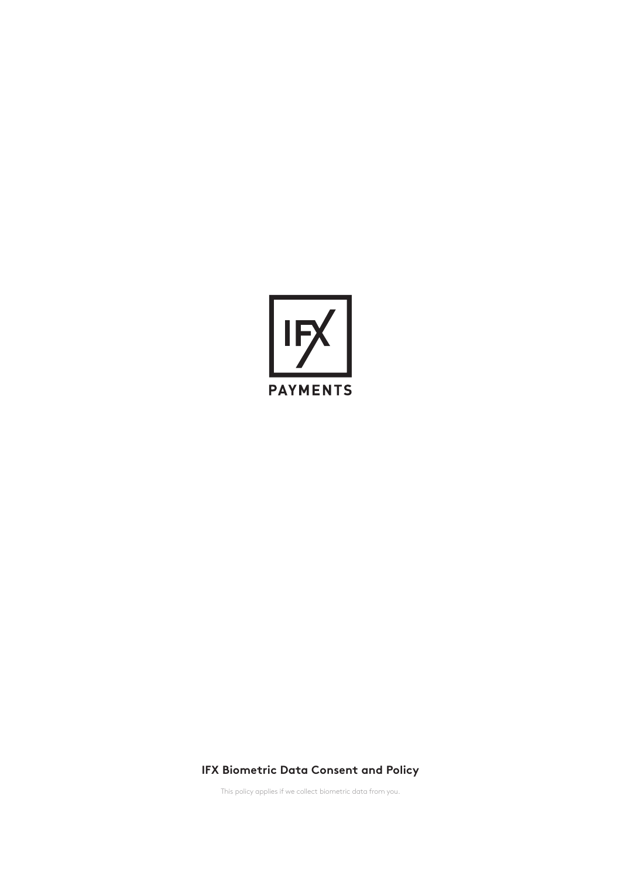

# **IFX Biometric Data Consent and Policy**

This policy applies if we collect biometric data from you.